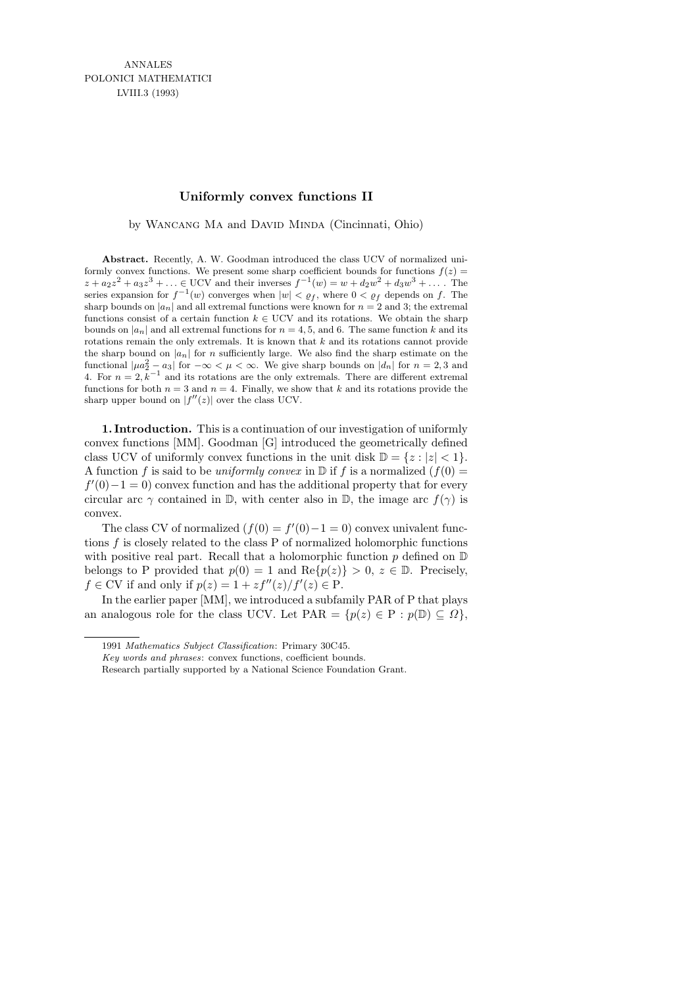## **Uniformly convex functions II**

by WANCANG MA and DAVID MINDA (Cincinnati, Ohio)

Abstract. Recently, A. W. Goodman introduced the class UCV of normalized uniformly convex functions. We present some sharp coefficient bounds for functions  $f(z)$  =  $z + a_2 z^2 + a_3 z^3 + \ldots \in \text{UCV}$  and their inverses  $f^{-1}(w) = w + d_2 w^2 + d_3 w^3 + \ldots$ . The series expansion for  $f^{-1}(w)$  converges when  $|w| < \varrho_f$ , where  $0 < \varrho_f$  depends on  $f$ . The sharp bounds on  $|a_n|$  and all extremal functions were known for  $n = 2$  and 3; the extremal functions consist of a certain function  $k \in \text{UCV}$  and its rotations. We obtain the sharp bounds on  $|a_n|$  and all extremal functions for  $n = 4, 5$ , and 6. The same function *k* and its rotations remain the only extremals. It is known that *k* and its rotations cannot provide the sharp bound on  $|a_n|$  for *n* sufficiently large. We also find the sharp estimate on the functional  $|\mu a_2^2 - a_3|$  for  $-\infty < \mu < \infty$ . We give sharp bounds on  $|d_n|$  for  $n = 2, 3$  and 4. For  $n = 2, \bar{k}^{-1}$  and its rotations are the only extremals. There are different extremal functions for both  $n = 3$  and  $n = 4$ . Finally, we show that *k* and its rotations provide the sharp upper bound on  $|f''(z)|$  over the class UCV.

1. Introduction. This is a continuation of our investigation of uniformly convex functions [MM]. Goodman [G] introduced the geometrically defined class UCV of uniformly convex functions in the unit disk  $\mathbb{D} = \{z : |z| < 1\}.$ A function f is said to be uniformly convex in  $\mathbb{D}$  if f is a normalized  $(f(0) =$  $f'(0)-1=0$ ) convex function and has the additional property that for every circular arc  $\gamma$  contained in D, with center also in D, the image arc  $f(\gamma)$  is convex.

The class CV of normalized  $(f(0) = f'(0) - 1 = 0)$  convex univalent functions  $f$  is closely related to the class  $P$  of normalized holomorphic functions with positive real part. Recall that a holomorphic function  $p$  defined on  $D$ belongs to P provided that  $p(0) = 1$  and  $\text{Re}\{p(z)\} > 0, z \in \mathbb{D}$ . Precisely,  $f \in CV$  if and only if  $p(z) = 1 + z f''(z)/f'(z) \in P$ .

In the earlier paper [MM], we introduced a subfamily PAR of P that plays an analogous role for the class UCV. Let  $\text{PAR} = \{p(z) \in \text{P} : p(\mathbb{D}) \subseteq \Omega\},\$ 

<sup>1991</sup> *Mathematics Subject Classification*: Primary 30C45.

*Key words and phrases*: convex functions, coefficient bounds.

Research partially supported by a National Science Foundation Grant.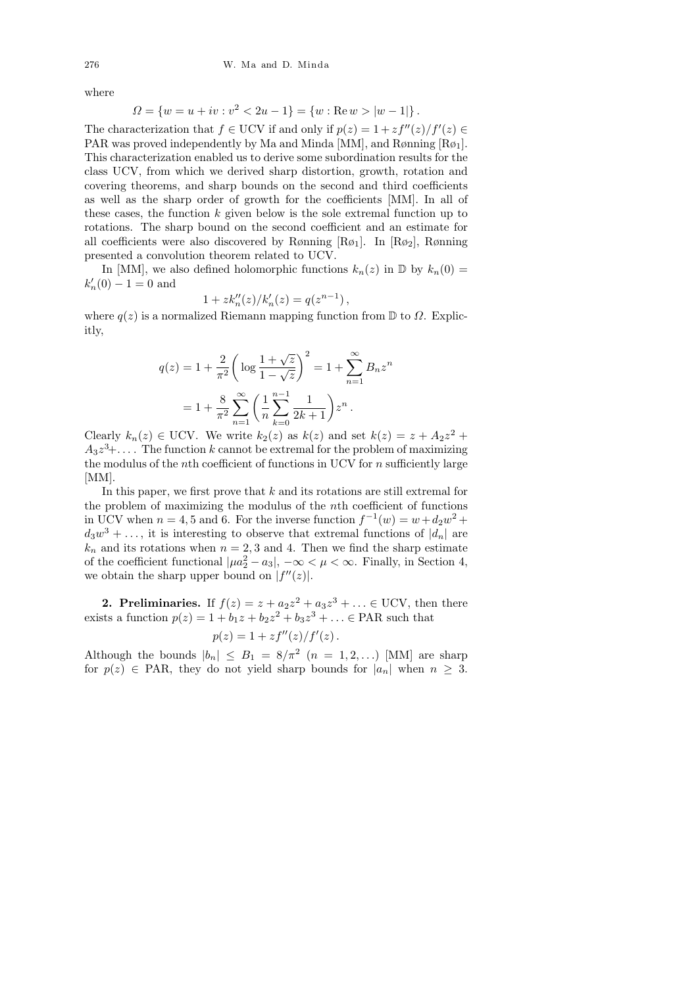where

$$
\Omega = \{w = u + iv : v^2 < 2u - 1\} = \{w : \text{Re}\,w > |w - 1|\}.
$$

The characterization that  $f \in \text{UCV}$  if and only if  $p(z) = 1 + z f''(z)/f'(z) \in$ PAR was proved independently by Ma and Minda [MM], and Rønning  $[R\phi_1]$ . This characterization enabled us to derive some subordination results for the class UCV, from which we derived sharp distortion, growth, rotation and covering theorems, and sharp bounds on the second and third coefficients as well as the sharp order of growth for the coefficients [MM]. In all of these cases, the function  $k$  given below is the sole extremal function up to rotations. The sharp bound on the second coefficient and an estimate for all coefficients were also discovered by Rønning  $[R\phi_1]$ . In  $[R\phi_2]$ , Rønning presented a convolution theorem related to UCV.

In [MM], we also defined holomorphic functions  $k_n(z)$  in  $\mathbb D$  by  $k_n(0) =$  $k'_n(0) - 1 = 0$  and

$$
1 + zk''_n(z) / k'_n(z) = q(z^{n-1}),
$$

where  $q(z)$  is a normalized Riemann mapping function from  $\mathbb D$  to  $\Omega$ . Explicitly,

$$
q(z) = 1 + \frac{2}{\pi^2} \left( \log \frac{1 + \sqrt{z}}{1 - \sqrt{z}} \right)^2 = 1 + \sum_{n=1}^{\infty} B_n z^n
$$

$$
= 1 + \frac{8}{\pi^2} \sum_{n=1}^{\infty} \left( \frac{1}{n} \sum_{k=0}^{n-1} \frac{1}{2k+1} \right) z^n.
$$

Clearly  $k_n(z) \in \text{UCV}$ . We write  $k_2(z)$  as  $k(z)$  and set  $k(z) = z + A_2 z^2 +$  $A_3 z^3 + \ldots$  . The function k cannot be extremal for the problem of maximizing the modulus of the *n*th coefficient of functions in UCV for  $n$  sufficiently large [MM].

In this paper, we first prove that  $k$  and its rotations are still extremal for the problem of maximizing the modulus of the nth coefficient of functions in UCV when  $n = 4, 5$  and 6. For the inverse function  $f^{-1}(w) = w + d_2w^2 +$  $d_3w^3 + \ldots$ , it is interesting to observe that extremal functions of  $|d_n|$  are  $k_n$  and its rotations when  $n = 2, 3$  and 4. Then we find the sharp estimate of the coefficient functional  $| \mu a_2^2 - a_3 |$ ,  $-\infty < \mu < \infty$ . Finally, in Section 4, we obtain the sharp upper bound on  $|f''(z)|$ .

**2. Preliminaries.** If  $f(z) = z + a_2z^2 + a_3z^3 + \ldots \in \text{UCV}$ , then there exists a function  $p(z) = 1 + b_1 z + b_2 z^2 + b_3 z^3 + ... \in \text{PAR}$  such that

$$
p(z) = 1 + zf''(z)/f'(z).
$$

Although the bounds  $|b_n| \leq B_1 = 8/\pi^2$   $(n = 1, 2, ...)$  [MM] are sharp for  $p(z) \in \text{PAR}$ , they do not yield sharp bounds for  $|a_n|$  when  $n \geq 3$ .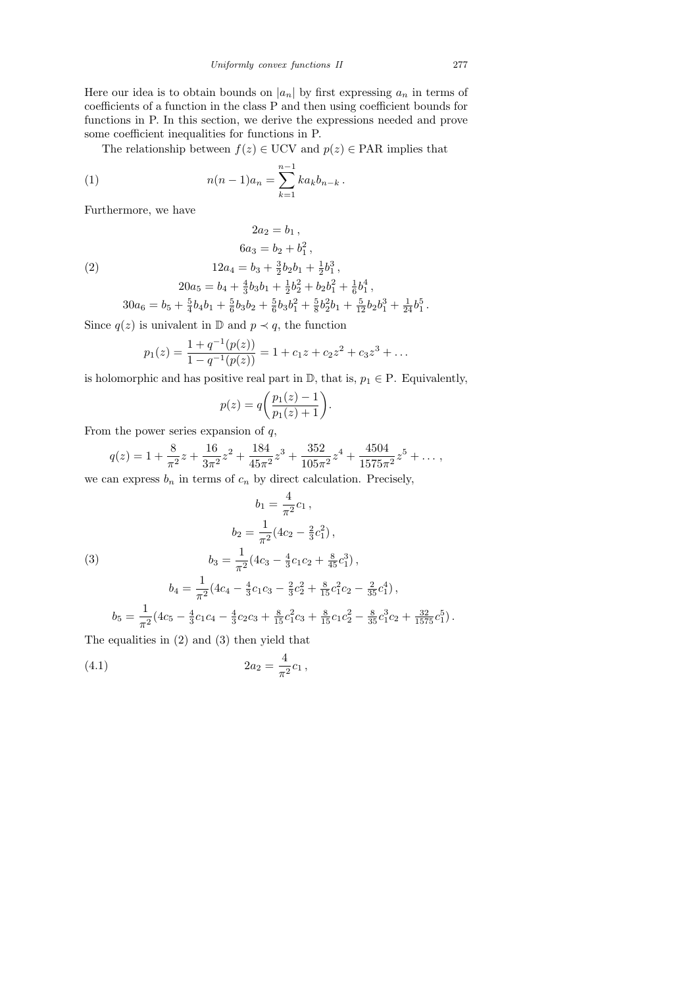Here our idea is to obtain bounds on  $|a_n|$  by first expressing  $a_n$  in terms of coefficients of a function in the class P and then using coefficient bounds for functions in P. In this section, we derive the expressions needed and prove some coefficient inequalities for functions in P.

The relationship between  $f(z) \in \text{UCV}$  and  $p(z) \in \text{PAR}$  implies that

 $2a_2 = b_1$ ,  $6a_3 = b_2 + b_1^2,$ 

(1) 
$$
n(n-1)a_n = \sum_{k=1}^{n-1} ka_k b_{n-k}.
$$

Furthermore, we have

(2)

 $12a_4 = b_3 + \frac{3}{2}$  $\frac{3}{2}b_2b_1+\frac{1}{2}$  $\frac{1}{2}b_1^3$ ,  $20a_5 = b_4 + \frac{4}{3}$  $\frac{4}{3}b_3b_1+\frac{1}{2}$  $\frac{1}{2}b_2^2 + b_2b_1^2 + \frac{1}{6}$  $\frac{1}{6}b_1^4$ ,

 $30a_6 = b_5 + \frac{5}{4}$  $\frac{5}{4}b_4b_1+\frac{5}{6}$  $\frac{5}{6}b_3b_2+\frac{5}{6}$  $\frac{5}{6}b_3b_1^2 + \frac{5}{8}$  $\frac{5}{8}b_2^2b_1+\frac{5}{12}b_2b_1^3+\frac{1}{24}b_1^5$ .

Since  $q(z)$  is univalent in  $\mathbb{D}$  and  $p \prec q$ , the function

$$
p_1(z) = \frac{1 + q^{-1}(p(z))}{1 - q^{-1}(p(z))} = 1 + c_1 z + c_2 z^2 + c_3 z^3 + \dots
$$

is holomorphic and has positive real part in  $\mathbb{D}$ , that is,  $p_1 \in \mathbb{P}$ . Equivalently,

$$
p(z) = q\bigg(\frac{p_1(z) - 1}{p_1(z) + 1}\bigg).
$$

From the power series expansion of  $q$ ,

$$
q(z) = 1 + \frac{8}{\pi^2}z + \frac{16}{3\pi^2}z^2 + \frac{184}{45\pi^2}z^3 + \frac{352}{105\pi^2}z^4 + \frac{4504}{1575\pi^2}z^5 + \dots,
$$

we can express  $b_n$  in terms of  $c_n$  by direct calculation. Precisely,

(3)  
\n
$$
b_1 = \frac{4}{\pi^2} c_1 ,
$$
\n
$$
b_2 = \frac{1}{\pi^2} (4c_2 - \frac{2}{3}c_1^2) ,
$$
\n
$$
b_3 = \frac{1}{\pi^2} (4c_3 - \frac{4}{3}c_1c_2 + \frac{8}{45}c_1^3) ,
$$
\n
$$
b_4 = \frac{1}{\pi^2} (4c_4 - \frac{4}{3}c_1c_3 - \frac{2}{3}c_2^2 + \frac{8}{15}c_1^2c_2 - \frac{2}{35}c_1^4) ,
$$
\n
$$
b_5 = \frac{1}{\pi^2} (4c_5 - \frac{4}{3}c_1c_4 - \frac{4}{3}c_2c_3 + \frac{8}{15}c_1^2c_3 + \frac{8}{15}c_1c_2^2 - \frac{8}{35}c_1^3c_2 + \frac{32}{1575}c_1^5) .
$$

The equalities in (2) and (3) then yield that

(4.1) 
$$
2a_2 = \frac{4}{\pi^2}c_1,
$$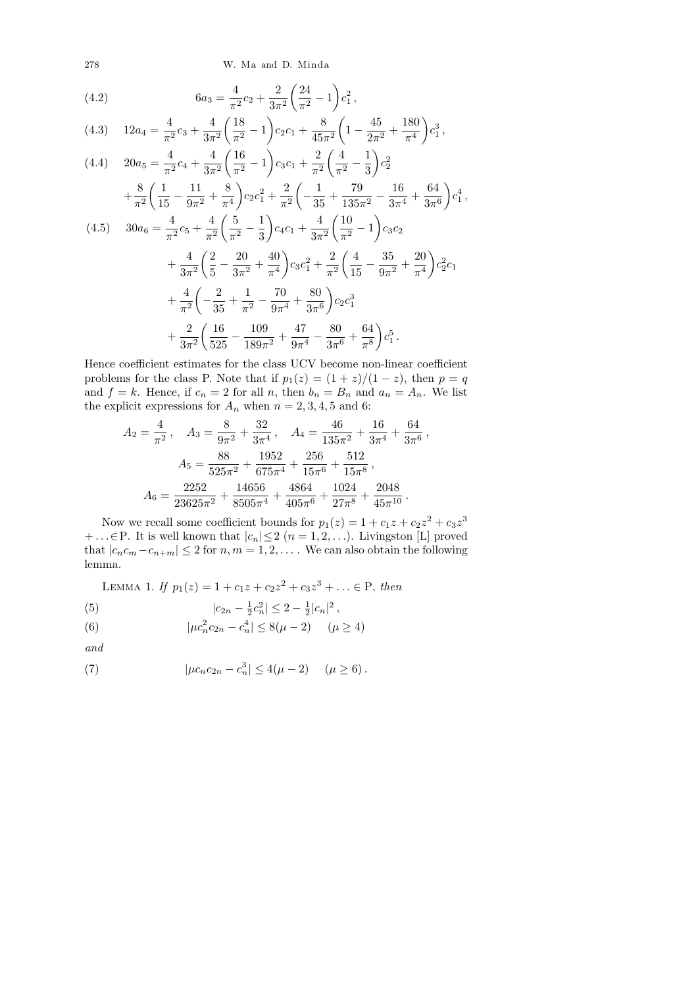278 W. Ma and D. Minda

(4.2) 
$$
6a_3 = \frac{4}{\pi^2}c_2 + \frac{2}{3\pi^2} \left(\frac{24}{\pi^2} - 1\right) c_1^2,
$$

$$
(4.3) \quad 12a_4 = \frac{4}{\pi^2}c_3 + \frac{4}{3\pi^2} \left(\frac{18}{\pi^2} - 1\right) c_2 c_1 + \frac{8}{45\pi^2} \left(1 - \frac{45}{2\pi^2} + \frac{180}{\pi^4}\right) c_1^3,
$$

$$
(4.4) \quad 20a_5 = \frac{4}{\pi^2}c_4 + \frac{4}{3\pi^2} \left(\frac{16}{\pi^2} - 1\right) c_3c_1 + \frac{2}{\pi^2} \left(\frac{4}{\pi^2} - \frac{1}{3}\right) c_2^2 + \frac{8}{\pi^2} \left(\frac{1}{15} - \frac{11}{9\pi^2} + \frac{8}{\pi^4}\right) c_2c_1^2 + \frac{2}{\pi^2} \left(-\frac{1}{35} + \frac{79}{135\pi^2} - \frac{16}{3\pi^4} + \frac{64}{3\pi^6}\right) c_1^4,
$$
  

$$
(4.5) \quad 30a_6 = \frac{4}{\pi^2}c_5 + \frac{4}{\pi^2} \left(\frac{5}{\pi^2} - \frac{1}{3}\right) c_4c_1 + \frac{4}{3\pi^2} \left(\frac{10}{\pi^2} - 1\right) c_3c_2 + \frac{4}{3\pi^2} \left(\frac{2}{5} - \frac{20}{3\pi^2} + \frac{40}{\pi^4}\right) c_3c_1^2 + \frac{2}{\pi^2} \left(\frac{4}{15} - \frac{35}{9\pi^2} + \frac{20}{\pi^4}\right) c_2^2c_1 + \frac{4}{\pi^2} \left(-\frac{2}{35} + \frac{1}{\pi^2} - \frac{70}{9\pi^4} + \frac{80}{3\pi^6}\right) c_2c_1^3 + \frac{2}{3\pi^2} \left(\frac{16}{525} - \frac{109}{189\pi^2} + \frac{47}{9\pi^4} - \frac{80}{3\pi^6} + \frac{64}{\pi^8}\right) c_1^5.
$$

Hence coefficient estimates for the class UCV become non-linear coefficient problems for the class P. Note that if  $p_1(z) = (1 + z)/(1 - z)$ , then  $p = q$ and  $f = k$ . Hence, if  $c_n = 2$  for all n, then  $b_n = B_n$  and  $a_n = A_n$ . We list the explicit expressions for  $A_n$  when  $n = 2, 3, 4, 5$  and 6:

$$
A_2 = \frac{4}{\pi^2}, \quad A_3 = \frac{8}{9\pi^2} + \frac{32}{3\pi^4}, \quad A_4 = \frac{46}{135\pi^2} + \frac{16}{3\pi^4} + \frac{64}{3\pi^6},
$$

$$
A_5 = \frac{88}{525\pi^2} + \frac{1952}{675\pi^4} + \frac{256}{15\pi^6} + \frac{512}{15\pi^8},
$$

$$
A_6 = \frac{2252}{23625\pi^2} + \frac{14656}{8505\pi^4} + \frac{4864}{405\pi^6} + \frac{1024}{27\pi^8} + \frac{2048}{45\pi^{10}}.
$$

Now we recall some coefficient bounds for  $p_1(z) = 1 + c_1z + c_2z^2 + c_3z^3$  $+ \ldots \in P$ . It is well known that  $|c_n| \leq 2$   $(n = 1, 2, \ldots)$ . Livingston [L] proved that  $|c_nc_m - c_{n+m}| \leq 2$  for  $n, m = 1, 2, \ldots$ . We can also obtain the following lemma.

LEMMA 1. If 
$$
p_1(z) = 1 + c_1 z + c_2 z^2 + c_3 z^3 + \ldots \in P
$$
, then

(5) 
$$
|c_{2n} - \frac{1}{2}c_n^2| \leq 2 - \frac{1}{2}|c_n|^2,
$$

(6) 
$$
|\mu c_n^2 c_{2n} - c_n^4| \le 8(\mu - 2) \quad (\mu \ge 4)
$$

and

(7) 
$$
|\mu c_n c_{2n} - c_n^3| \le 4(\mu - 2) \quad (\mu \ge 6).
$$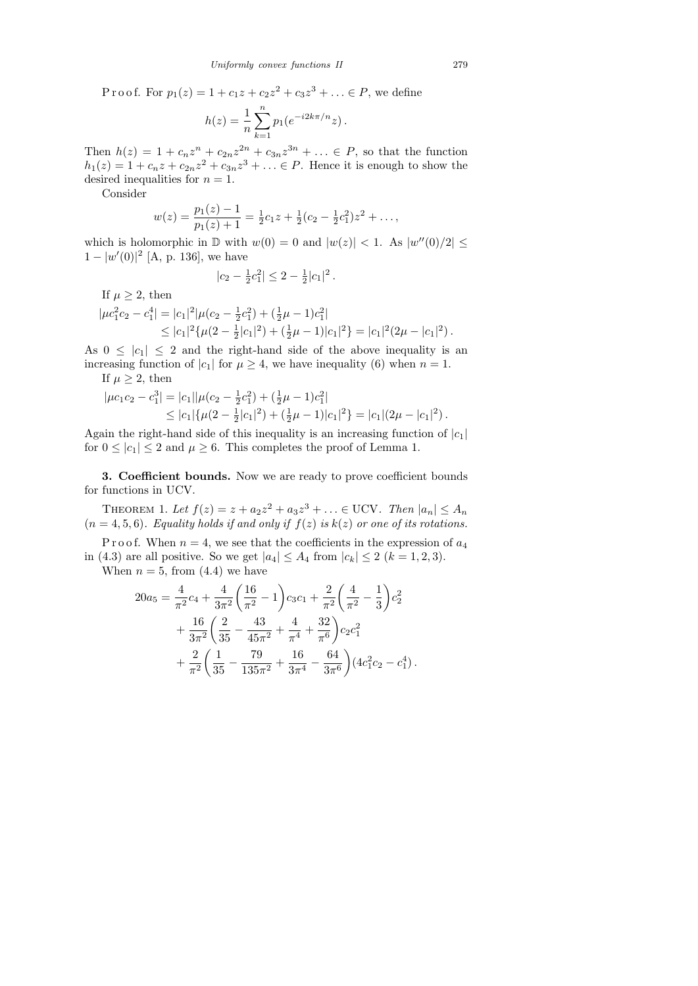P r o o f. For  $p_1(z) = 1 + c_1 z + c_2 z^2 + c_3 z^3 + \ldots \in P$ , we define

$$
h(z) = \frac{1}{n} \sum_{k=1}^{n} p_1(e^{-i2k\pi/n}z).
$$

Then  $h(z) = 1 + c_n z^n + c_{2n} z^{2n} + c_{3n} z^{3n} + ... \in P$ , so that the function  $h_1(z) = 1 + c_n z + c_{2n} z^2 + c_{3n} z^3 + \ldots \in P$ . Hence it is enough to show the desired inequalities for  $n = 1$ .

Consider

$$
w(z) = \frac{p_1(z) - 1}{p_1(z) + 1} = \frac{1}{2}c_1z + \frac{1}{2}(c_2 - \frac{1}{2}c_1^2)z^2 + \dots,
$$

which is holomorphic in  $\mathbb D$  with  $w(0) = 0$  and  $|w(z)| < 1$ . As  $|w''(0)/2| \leq$  $1 - |w'(0)|^2$  [A, p. 136], we have

$$
|c_2 - \frac{1}{2}c_1^2| \leq 2 - \frac{1}{2}|c_1|^2.
$$

If  $\mu \geq 2$ , then

$$
|\mu c_1^2 c_2 - c_1^4| = |c_1|^2 |\mu (c_2 - \frac{1}{2}c_1^2) + (\frac{1}{2}\mu - 1)c_1^2|
$$
  
\n
$$
\leq |c_1|^2 \{ \mu (2 - \frac{1}{2}|c_1|^2) + (\frac{1}{2}\mu - 1)|c_1|^2 \} = |c_1|^2 (2\mu - |c_1|^2).
$$

As  $0 \leq |c_1| \leq 2$  and the right-hand side of the above inequality is an increasing function of  $|c_1|$  for  $\mu \geq 4$ , we have inequality (6) when  $n = 1$ .

If  $\mu \geq 2$ , then

$$
|\mu c_1 c_2 - c_1^3| = |c_1||\mu(c_2 - \frac{1}{2}c_1^2) + (\frac{1}{2}\mu - 1)c_1^2|
$$
  
\n
$$
\leq |c_1|\{\mu(2 - \frac{1}{2}|c_1|^2) + (\frac{1}{2}\mu - 1)|c_1|^2\} = |c_1|(2\mu - |c_1|^2).
$$

Again the right-hand side of this inequality is an increasing function of  $|c_1|$ for  $0 \leq |c_1| \leq 2$  and  $\mu \geq 6$ . This completes the proof of Lemma 1.

3. Coefficient bounds. Now we are ready to prove coefficient bounds for functions in UCV.

THEOREM 1. Let  $f(z) = z + a_2 z^2 + a_3 z^3 + ... \in \text{UCV}$ . Then  $|a_n| \leq A_n$  $(n = 4, 5, 6)$ . Equality holds if and only if  $f(z)$  is  $k(z)$  or one of its rotations.

P r o o f. When  $n = 4$ , we see that the coefficients in the expression of  $a_4$ in (4.3) are all positive. So we get  $|a_4| \le A_4$  from  $|c_k| \le 2$   $(k = 1, 2, 3)$ .

When  $n = 5$ , from  $(4.4)$  we have

$$
20a_5 = \frac{4}{\pi^2}c_4 + \frac{4}{3\pi^2} \left(\frac{16}{\pi^2} - 1\right) c_3c_1 + \frac{2}{\pi^2} \left(\frac{4}{\pi^2} - \frac{1}{3}\right) c_2^2 + \frac{16}{3\pi^2} \left(\frac{2}{35} - \frac{43}{45\pi^2} + \frac{4}{\pi^4} + \frac{32}{\pi^6}\right) c_2 c_1^2 + \frac{2}{\pi^2} \left(\frac{1}{35} - \frac{79}{135\pi^2} + \frac{16}{3\pi^4} - \frac{64}{3\pi^6}\right) (4c_1^2c_2 - c_1^4).
$$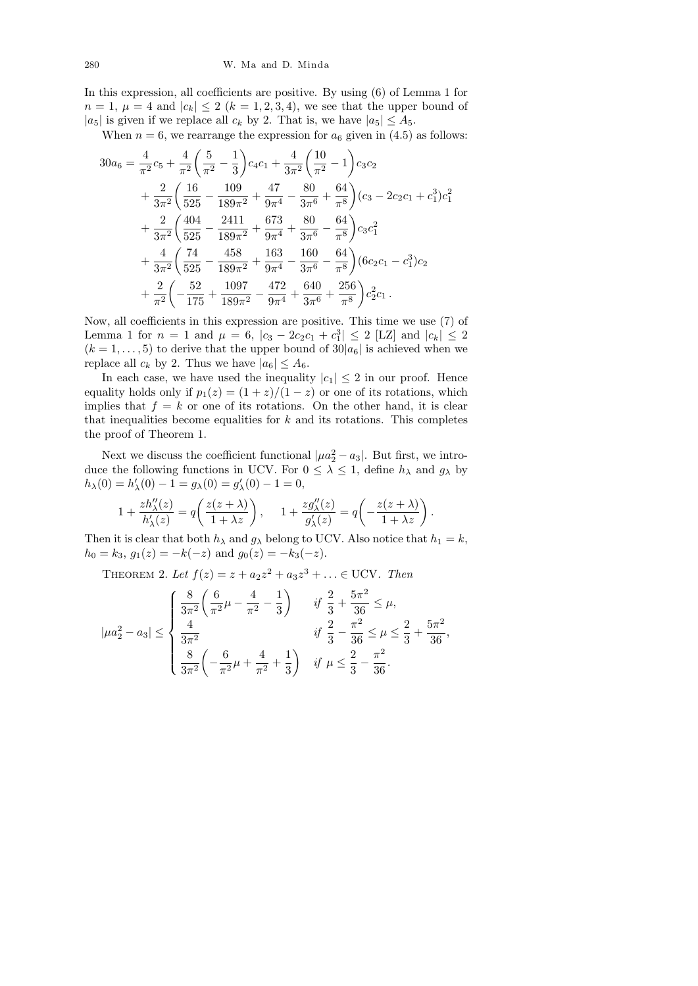In this expression, all coefficients are positive. By using (6) of Lemma 1 for  $n = 1, \mu = 4$  and  $|c_k| \le 2$   $(k = 1, 2, 3, 4)$ , we see that the upper bound of  $|a_5|$  is given if we replace all  $c_k$  by 2. That is, we have  $|a_5| \leq A_5$ .

When  $n = 6$ , we rearrange the expression for  $a_6$  given in (4.5) as follows:

$$
30a_6 = \frac{4}{\pi^2}c_5 + \frac{4}{\pi^2} \left(\frac{5}{\pi^2} - \frac{1}{3}\right)c_4c_1 + \frac{4}{3\pi^2} \left(\frac{10}{\pi^2} - 1\right)c_3c_2 + \frac{2}{3\pi^2} \left(\frac{16}{525} - \frac{109}{189\pi^2} + \frac{47}{9\pi^4} - \frac{80}{3\pi^6} + \frac{64}{\pi^8}\right)(c_3 - 2c_2c_1 + c_1^3)c_1^2 + \frac{2}{3\pi^2} \left(\frac{404}{525} - \frac{2411}{189\pi^2} + \frac{673}{9\pi^4} + \frac{80}{3\pi^6} - \frac{64}{\pi^8}\right)c_3c_1^2 + \frac{4}{3\pi^2} \left(\frac{74}{525} - \frac{458}{189\pi^2} + \frac{163}{9\pi^4} - \frac{160}{3\pi^6} - \frac{64}{\pi^8}\right)(6c_2c_1 - c_1^3)c_2 + \frac{2}{\pi^2} \left(-\frac{52}{175} + \frac{1097}{189\pi^2} - \frac{472}{9\pi^4} + \frac{640}{3\pi^6} + \frac{256}{\pi^8}\right)c_2^2c_1.
$$

Now, all coefficients in this expression are positive. This time we use (7) of Lemma 1 for  $n = 1$  and  $\mu = 6$ ,  $|c_3 - 2c_2c_1 + c_1^3| \le 2$  [LZ] and  $|c_k| \le 2$  $(k = 1, \ldots, 5)$  to derive that the upper bound of  $30|a_6|$  is achieved when we replace all  $c_k$  by 2. Thus we have  $|a_6| \leq A_6$ .

In each case, we have used the inequality  $|c_1| \leq 2$  in our proof. Hence equality holds only if  $p_1(z) = (1 + z)/(1 - z)$  or one of its rotations, which implies that  $f = k$  or one of its rotations. On the other hand, it is clear that inequalities become equalities for  $k$  and its rotations. This completes the proof of Theorem 1.

Next we discuss the coefficient functional  $| \mu a_2^2 - a_3 |$ . But first, we introduce the following functions in UCV. For  $0 \leq \lambda \leq 1$ , define  $h_{\lambda}$  and  $g_{\lambda}$  by  $h_{\lambda}(0) = h'_{\lambda}(0) - 1 = g_{\lambda}(0) = g'_{\lambda}(0) - 1 = 0,$ 

$$
1 + \frac{zh_{\lambda}''(z)}{h_{\lambda}'(z)} = q\left(\frac{z(z+\lambda)}{1+\lambda z}\right), \quad 1 + \frac{zg_{\lambda}''(z)}{g_{\lambda}'(z)} = q\left(-\frac{z(z+\lambda)}{1+\lambda z}\right).
$$

Then it is clear that both  $h_{\lambda}$  and  $g_{\lambda}$  belong to UCV. Also notice that  $h_1 = k$ ,  $h_0 = k_3$ ,  $g_1(z) = -k(-z)$  and  $g_0(z) = -k_3(-z)$ .

THEOREM 2. Let  $f(z) = z + a_2 z^2 + a_3 z^3 + ... \in \text{UCV}$ . Then

$$
|\mu a_2^2 - a_3| \le \begin{cases} \frac{8}{3\pi^2} \left( \frac{6}{\pi^2} \mu - \frac{4}{\pi^2} - \frac{1}{3} \right) & \text{if } \frac{2}{3} + \frac{5\pi^2}{36} \le \mu, \\ \frac{4}{3\pi^2} & \text{if } \frac{2}{3} - \frac{\pi^2}{36} \le \mu \le \frac{2}{3} + \frac{5\pi^2}{36}, \\ \frac{8}{3\pi^2} \left( -\frac{6}{\pi^2} \mu + \frac{4}{\pi^2} + \frac{1}{3} \right) & \text{if } \mu \le \frac{2}{3} - \frac{\pi^2}{36}. \end{cases}
$$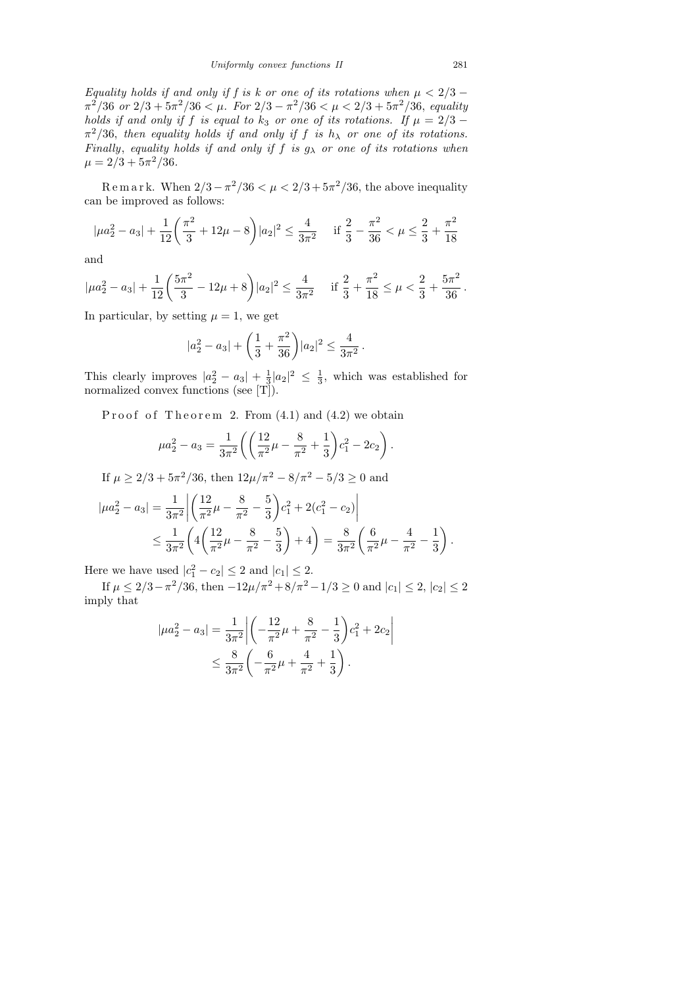Equality holds if and only if f is k or one of its rotations when  $\mu < 2/3$  –  $\pi^2/36$  or  $2/3 + 5\pi^2/36 < \mu$ . For  $2/3 - \pi^2/36 < \mu < 2/3 + 5\pi^2/36$ , equality holds if and only if f is equal to  $k_3$  or one of its rotations. If  $\mu = 2/3$  –  $\pi^2/36$ , then equality holds if and only if f is  $h_\lambda$  or one of its rotations. Finally, equality holds if and only if f is  $g_{\lambda}$  or one of its rotations when  $\mu = 2/3 + 5\pi^2/36.$ 

Remark. When  $2/3 - \pi^2/36 < \mu < 2/3 + 5\pi^2/36$ , the above inequality can be improved as follows:

$$
|\mu a_2^2 - a_3| + \frac{1}{12} \left(\frac{\pi^2}{3} + 12\mu - 8\right) |a_2|^2 \le \frac{4}{3\pi^2} \quad \text{if } \frac{2}{3} - \frac{\pi^2}{36} < \mu \le \frac{2}{3} + \frac{\pi^2}{18}
$$

and

$$
|\mu a_2^2 - a_3| + \frac{1}{12} \left( \frac{5\pi^2}{3} - 12\mu + 8 \right) |a_2|^2 \le \frac{4}{3\pi^2} \quad \text{if } \frac{2}{3} + \frac{\pi^2}{18} \le \mu < \frac{2}{3} + \frac{5\pi^2}{36} \, .
$$

In particular, by setting  $\mu = 1$ , we get

$$
|a_2^2 - a_3| + \left(\frac{1}{3} + \frac{\pi^2}{36}\right)|a_2|^2 \le \frac{4}{3\pi^2}.
$$

This clearly improves  $|a_2^2 - a_3| + \frac{1}{3}$  $\frac{1}{3}|a_2|^2 \leq \frac{1}{3}$  $\frac{1}{3}$ , which was established for normalized convex functions (see [T]).

Proof of Theorem 2. From  $(4.1)$  and  $(4.2)$  we obtain

$$
\mu a_2^2 - a_3 = \frac{1}{3\pi^2} \left( \left( \frac{12}{\pi^2} \mu - \frac{8}{\pi^2} + \frac{1}{3} \right) c_1^2 - 2c_2 \right).
$$

If  $\mu \geq 2/3 + 5\pi^2/36$ , then  $12\mu/\pi^2 - 8/\pi^2 - 5/3 \geq 0$  and

$$
|\mu a_2^2 - a_3| = \frac{1}{3\pi^2} \left| \left( \frac{12}{\pi^2} \mu - \frac{8}{\pi^2} - \frac{5}{3} \right) c_1^2 + 2(c_1^2 - c_2) \right|
$$
  
 
$$
\leq \frac{1}{3\pi^2} \left( 4 \left( \frac{12}{\pi^2} \mu - \frac{8}{\pi^2} - \frac{5}{3} \right) + 4 \right) = \frac{8}{3\pi^2} \left( \frac{6}{\pi^2} \mu - \frac{4}{\pi^2} - \frac{1}{3} \right).
$$

Here we have used  $|c_1^2 - c_2| \leq 2$  and  $|c_1| \leq 2$ .

If  $\mu \leq 2/3 - \pi^2/36$ , then  $-12\mu/\pi^2 + 8/\pi^2 - 1/3 \geq 0$  and  $|c_1| \leq 2$ ,  $|c_2| \leq 2$ imply that

$$
|\mu a_2^2 - a_3| = \frac{1}{3\pi^2} \left| \left( -\frac{12}{\pi^2} \mu + \frac{8}{\pi^2} - \frac{1}{3} \right) c_1^2 + 2c_2 \right|
$$
  
 
$$
\leq \frac{8}{3\pi^2} \left( -\frac{6}{\pi^2} \mu + \frac{4}{\pi^2} + \frac{1}{3} \right).
$$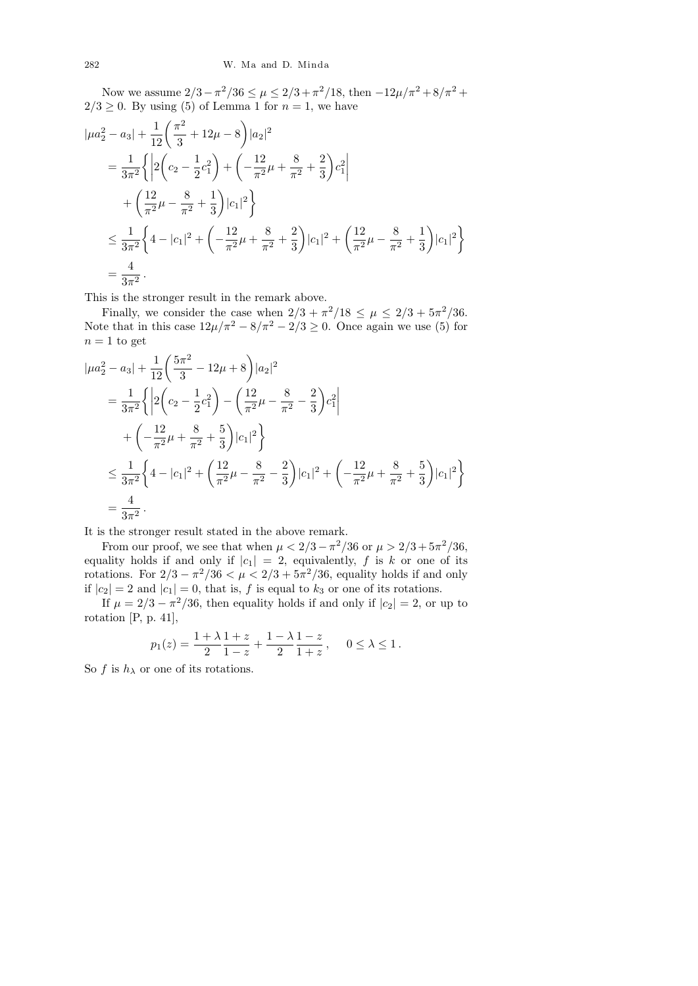Now we assume  $2/3 - \pi^2/36 \le \mu \le 2/3 + \pi^2/18$ , then  $-12\mu/\pi^2 + 8/\pi^2 +$  $2/3 \geq 0$ . By using (5) of Lemma 1 for  $n = 1$ , we have

$$
|\mu a_2^2 - a_3| + \frac{1}{12} \left( \frac{\pi^2}{3} + 12\mu - 8 \right) |a_2|^2
$$
  
=  $\frac{1}{3\pi^2} \left\{ \left| 2 \left( c_2 - \frac{1}{2} c_1^2 \right) + \left( -\frac{12}{\pi^2} \mu + \frac{8}{\pi^2} + \frac{2}{3} \right) c_1^2 \right|$   
+  $\left( \frac{12}{\pi^2} \mu - \frac{8}{\pi^2} + \frac{1}{3} \right) |c_1|^2 \right\}$   
 $\leq \frac{1}{3\pi^2} \left\{ 4 - |c_1|^2 + \left( -\frac{12}{\pi^2} \mu + \frac{8}{\pi^2} + \frac{2}{3} \right) |c_1|^2 + \left( \frac{12}{\pi^2} \mu - \frac{8}{\pi^2} + \frac{1}{3} \right) |c_1|^2 \right\}$   
=  $\frac{4}{3\pi^2}$ .

This is the stronger result in the remark above.

Finally, we consider the case when  $2/3 + \pi^2/18 \leq \mu \leq 2/3 + 5\pi^2/36$ . Note that in this case  $12\mu/\pi^2 - 8/\pi^2 - 2/3 \geq 0$ . Once again we use (5) for  $n = 1$  to get

$$
|\mu a_2^2 - a_3| + \frac{1}{12} \left( \frac{5\pi^2}{3} - 12\mu + 8 \right) |a_2|^2
$$
  
=  $\frac{1}{3\pi^2} \left\{ \left| 2 \left( c_2 - \frac{1}{2} c_1^2 \right) - \left( \frac{12}{\pi^2} \mu - \frac{8}{\pi^2} - \frac{2}{3} \right) c_1^2 \right|$   
+  $\left( -\frac{12}{\pi^2} \mu + \frac{8}{\pi^2} + \frac{5}{3} \right) |c_1|^2 \right\}$   
 $\leq \frac{1}{3\pi^2} \left\{ 4 - |c_1|^2 + \left( \frac{12}{\pi^2} \mu - \frac{8}{\pi^2} - \frac{2}{3} \right) |c_1|^2 + \left( -\frac{12}{\pi^2} \mu + \frac{8}{\pi^2} + \frac{5}{3} \right) |c_1|^2 \right\}$   
=  $\frac{4}{3\pi^2}$ .

It is the stronger result stated in the above remark.

From our proof, we see that when  $\mu < 2/3 - \pi^2/36$  or  $\mu > 2/3 + 5\pi^2/36$ , equality holds if and only if  $|c_1| = 2$ , equivalently, f is k or one of its rotations. For  $2/3 - \pi^2/36 < \mu < 2/3 + 5\pi^2/36$ , equality holds if and only if  $|c_2| = 2$  and  $|c_1| = 0$ , that is, f is equal to  $k_3$  or one of its rotations.

If  $\mu = 2/3 - \pi^2/36$ , then equality holds if and only if  $|c_2| = 2$ , or up to rotation [P, p. 41],

$$
p_1(z) = \frac{1 + \lambda}{2} \frac{1 + z}{1 - z} + \frac{1 - \lambda}{2} \frac{1 - z}{1 + z}, \quad 0 \le \lambda \le 1.
$$

So f is  $h_{\lambda}$  or one of its rotations.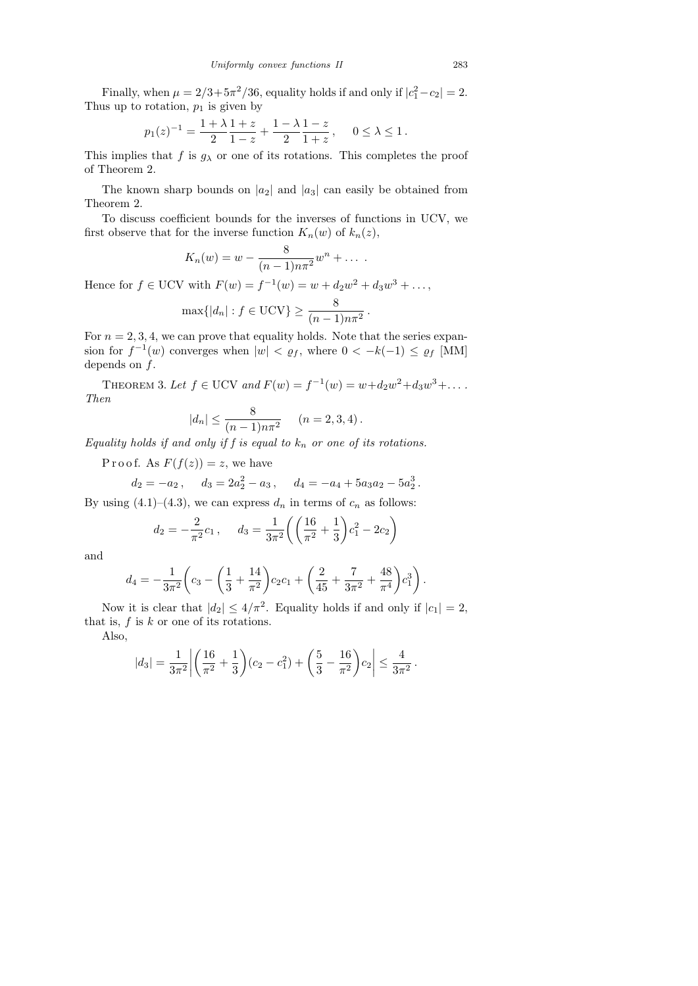Finally, when  $\mu = 2/3 + 5\pi^2/36$ , equality holds if and only if  $|c_1^2 - c_2| = 2$ . Thus up to rotation,  $p_1$  is given by

$$
p_1(z)^{-1} = \frac{1+\lambda}{2}\frac{1+z}{1-z} + \frac{1-\lambda}{2}\frac{1-z}{1+z}, \quad 0 \le \lambda \le 1.
$$

This implies that f is  $g_{\lambda}$  or one of its rotations. This completes the proof of Theorem 2.

The known sharp bounds on  $|a_2|$  and  $|a_3|$  can easily be obtained from Theorem 2.

To discuss coefficient bounds for the inverses of functions in UCV, we first observe that for the inverse function  $K_n(w)$  of  $k_n(z)$ ,

$$
K_n(w) = w - \frac{8}{(n-1)n\pi^2}w^n + \dots
$$

Hence for  $f \in \text{UCV}$  with  $F(w) = f^{-1}(w) = w + d_2w^2 + d_3w^3 + \dots$ ,

$$
\max\{|d_n|: f \in \mathrm{UCV}\} \ge \frac{8}{(n-1)n\pi^2}.
$$

For  $n = 2, 3, 4$ , we can prove that equality holds. Note that the series expansion for  $f^{-1}(w)$  converges when  $|w| < \varrho_f$ , where  $0 < -k(-1) \le \varrho_f$  [MM] depends on  $f$ .

THEOREM 3. Let  $f \in \text{UCV}$  and  $F(w) = f^{-1}(w) = w + d_2w^2 + d_3w^3 + \dots$ Then

$$
|d_n| \le \frac{8}{(n-1)n\pi^2}
$$
  $(n = 2, 3, 4).$ 

Equality holds if and only if f is equal to  $k_n$  or one of its rotations.

P r o o f. As  $F(f(z)) = z$ , we have

$$
d_2 = -a_2
$$
,  $d_3 = 2a_2^2 - a_3$ ,  $d_4 = -a_4 + 5a_3a_2 - 5a_2^3$ .

By using  $(4.1)$ – $(4.3)$ , we can express  $d_n$  in terms of  $c_n$  as follows:

$$
d_2 = -\frac{2}{\pi^2}c_1
$$
,  $d_3 = \frac{1}{3\pi^2} \left( \left( \frac{16}{\pi^2} + \frac{1}{3} \right) c_1^2 - 2c_2 \right)$ 

and

$$
d_4 = -\frac{1}{3\pi^2} \left( c_3 - \left( \frac{1}{3} + \frac{14}{\pi^2} \right) c_2 c_1 + \left( \frac{2}{45} + \frac{7}{3\pi^2} + \frac{48}{\pi^4} \right) c_1^3 \right).
$$

Now it is clear that  $|d_2| \leq 4/\pi^2$ . Equality holds if and only if  $|c_1| = 2$ , that is,  $f$  is  $k$  or one of its rotations.

Also,

$$
|d_3| = \frac{1}{3\pi^2} \left| \left( \frac{16}{\pi^2} + \frac{1}{3} \right) (c_2 - c_1^2) + \left( \frac{5}{3} - \frac{16}{\pi^2} \right) c_2 \right| \le \frac{4}{3\pi^2}.
$$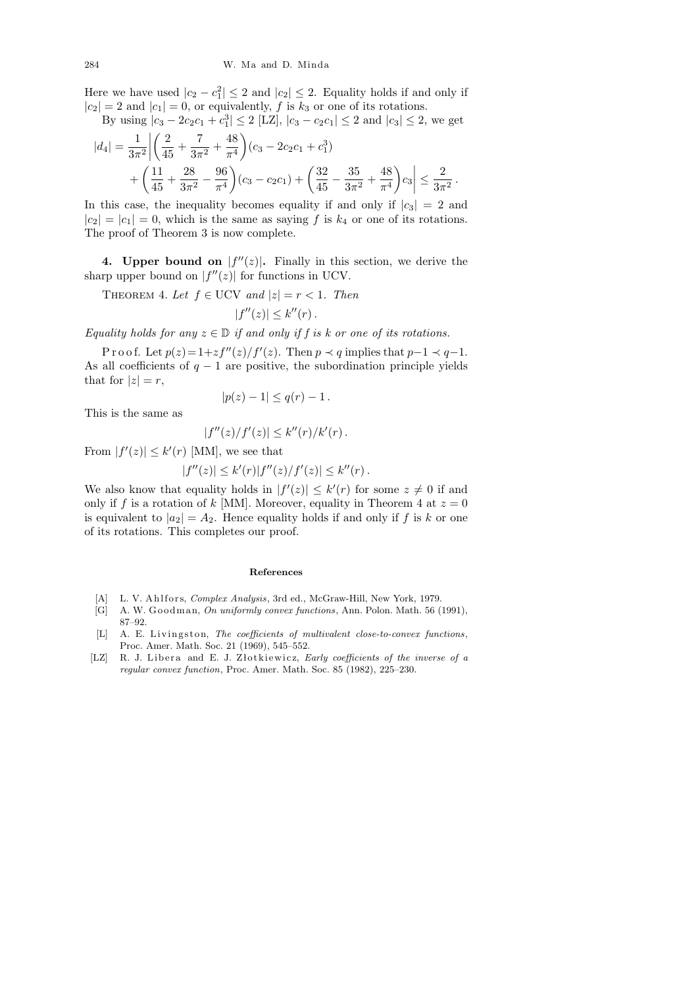Here we have used  $|c_2 - c_1^2| \leq 2$  and  $|c_2| \leq 2$ . Equality holds if and only if  $|c_2| = 2$  and  $|c_1| = 0$ , or equivalently, f is  $k_3$  or one of its rotations.

By using 
$$
|c_3 - 2c_2c_1 + c_1^3| \le 2
$$
 [LZ],  $|c_3 - c_2c_1| \le 2$  and  $|c_3| \le 2$ , we get

$$
|d_4| = \frac{1}{3\pi^2} \left| \left( \frac{2}{45} + \frac{7}{3\pi^2} + \frac{48}{\pi^4} \right) (c_3 - 2c_2c_1 + c_1^3) + \left( \frac{11}{45} + \frac{28}{3\pi^2} - \frac{96}{\pi^4} \right) (c_3 - c_2c_1) + \left( \frac{32}{45} - \frac{35}{3\pi^2} + \frac{48}{\pi^4} \right) c_3 \right| \le \frac{2}{3\pi^2}.
$$

In this case, the inequality becomes equality if and only if  $|c_3| = 2$  and  $|c_2| = |c_1| = 0$ , which is the same as saying f is  $k_4$  or one of its rotations. The proof of Theorem 3 is now complete.

4. Upper bound on  $|f''(z)|$ . Finally in this section, we derive the sharp upper bound on  $|f''(z)|$  for functions in UCV.

THEOREM 4. Let  $f \in \text{UCV}$  and  $|z| = r < 1$ . Then

$$
|f''(z)| \leq k''(r).
$$

Equality holds for any  $z \in \mathbb{D}$  if and only if f is k or one of its rotations.

P r o o f. Let  $p(z) = 1 + zf''(z)/f'(z)$ . Then  $p \prec q$  implies that  $p-1 \prec q-1$ . As all coefficients of  $q - 1$  are positive, the subordination principle yields that for  $|z|=r$ ,

$$
|p(z)-1|\leq q(r)-1.
$$

This is the same as

$$
|f''(z)/f'(z)| \leq k''(r)/k'(r).
$$

From  $|f'(z)| \leq k'(r)$  [MM], we see that

$$
|f''(z)| \le k'(r)|f''(z)/f'(z)| \le k''(r).
$$

We also know that equality holds in  $|f'(z)| \leq k'(r)$  for some  $z \neq 0$  if and only if f is a rotation of k [MM]. Moreover, equality in Theorem 4 at  $z = 0$ is equivalent to  $|a_2| = A_2$ . Hence equality holds if and only if f is k or one of its rotations. This completes our proof.

## **References**

- [A] L. V. Ahlfors, *Complex Analysis*, 3rd ed., McGraw-Hill, New York, 1979.
- [G] A. W. Goodman, *On uniformly convex functions*, Ann. Polon. Math. 56 (1991), 87–92.
- [L] A. E. Livingston, *The coefficients of multivalent close-to-convex functions*, Proc. Amer. Math. Soc. 21 (1969), 545–552.
- [LZ] R. J. Libera and E. J. Złotkiewicz, *Early coefficients of the inverse of a regular convex function*, Proc. Amer. Math. Soc. 85 (1982), 225–230.